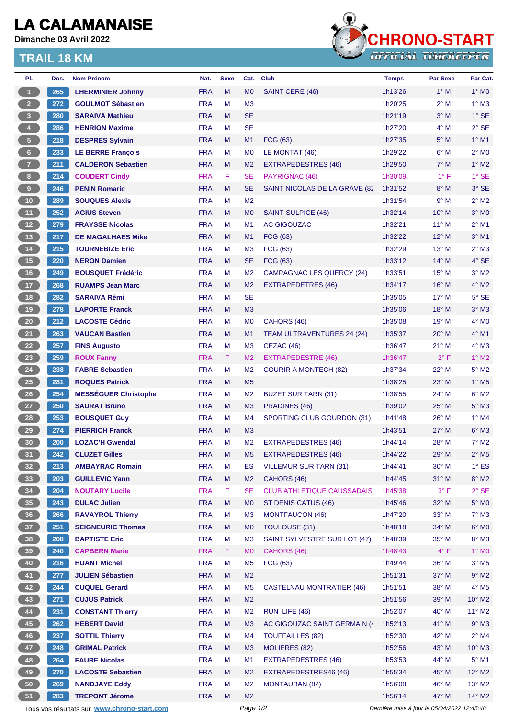## **LA CALAMANAISE**

**Dimanche 03 Avril 2022**

## **TRAIL 18 KM**



| PI.                     | Dos. | Nom-Prénom                                  | Nat.       | <b>Sexe</b> | Cat.           | <b>Club</b>                       | <b>Temps</b>                                | <b>Par Sexe</b> | Par Cat.                 |
|-------------------------|------|---------------------------------------------|------------|-------------|----------------|-----------------------------------|---------------------------------------------|-----------------|--------------------------|
| $\mathbf{1}$            | 265  | <b>LHERMINIER Johnny</b>                    | <b>FRA</b> | M           | M <sub>0</sub> | SAINT CERE (46)                   | 1h13'26                                     | $1^\circ$ M     | $1^\circ$ MO             |
| 2 <sup>7</sup>          | 272  | <b>GOULMOT Sébastien</b>                    | <b>FRA</b> | M           | M <sub>3</sub> |                                   | 1h20'25                                     | $2^{\circ}$ M   | $1^\circ$ M3             |
| $\overline{\mathbf{3}}$ | 280  | <b>SARAIVA Mathieu</b>                      | <b>FRA</b> | M           | <b>SE</b>      |                                   | 1h21'19                                     | $3°$ M          | $1^\circ$ SE             |
| $\overline{4}$          | 286  | <b>HENRION Maxime</b>                       | <b>FRA</b> | м           | <b>SE</b>      |                                   | 1h27'20                                     | $4^\circ$ M     | $2°$ SE                  |
| $\sqrt{5}$              | 218  | <b>DESPRES Sylvain</b>                      | <b>FRA</b> | M           | M1             | <b>FCG (63)</b>                   | 1h27'35                                     | $5^\circ$ M     | $1°$ M1                  |
| $6\phantom{.}6$         | 233  | <b>LE BERRE François</b>                    | <b>FRA</b> | M           | M <sub>0</sub> | LE MONTAT (46)                    | 1h29'22                                     | $6^\circ$ M     | $2^{\circ}$ MO           |
| $\overline{7}$          | 211  | <b>CALDERON Sebastien</b>                   | <b>FRA</b> | M           | M <sub>2</sub> | EXTRAPEDESTRES (46)               | 1h29'50                                     | $7^\circ$ M     | $1^\circ$ M2             |
| 8 <sup>1</sup>          | 214  | <b>COUDERT Cindy</b>                        | <b>FRA</b> | F           | <b>SE</b>      | PAYRIGNAC (46)                    | 1h30'09                                     | $1^{\circ}$ F   | $1^\circ$ SE             |
| $\boldsymbol{9}$        | 246  | <b>PENIN Romaric</b>                        | <b>FRA</b> | M           | <b>SE</b>      | SAINT NICOLAS DE LA GRAVE (82     | 1h31'52                                     | $8^\circ$ M     | $3°$ SE                  |
| 10                      | 289  | <b>SOUQUES Alexis</b>                       | <b>FRA</b> | M           | M <sub>2</sub> |                                   | 1h31'54                                     | 9° M            | $2^{\circ}$ M2           |
| 11                      | 252  | <b>AGIUS Steven</b>                         | <b>FRA</b> | M           | M <sub>0</sub> | SAINT-SULPICE (46)                | 1h32'14                                     | $10^{\circ}$ M  | $3°$ MO                  |
| 12 <sup>7</sup>         | 279  | <b>FRAYSSE Nicolas</b>                      | <b>FRA</b> | м           | M <sub>1</sub> | <b>AC GIGOUZAC</b>                | 1h32'21                                     | 11° M           | $2^{\circ}$ M1           |
| 13                      | 217  | <b>DE MAGALHAES Mike</b>                    | <b>FRA</b> | M           | M <sub>1</sub> | <b>FCG (63)</b>                   | 1h32'22                                     | 12° M           | $3°$ M1                  |
| $14$                    | 215  | <b>TOURNEBIZE Eric</b>                      | <b>FRA</b> | м           | M <sub>3</sub> | FCG (63)                          | 1h32'29                                     | $13°$ M         | $2^{\circ}$ M3           |
| 15                      | 220  | <b>NERON Damien</b>                         | <b>FRA</b> | M           | <b>SE</b>      | <b>FCG (63)</b>                   | 1h33'12                                     | $14^{\circ}$ M  | 4° SE                    |
| 16                      | 249  | <b>BOUSQUET Frédéric</b>                    | <b>FRA</b> | M           | M <sub>2</sub> | <b>CAMPAGNAC LES QUERCY (24)</b>  | 1h33'51                                     | 15° M           | $3°$ M2                  |
| 17 <sub>2</sub>         | 268  | <b>RUAMPS Jean Marc</b>                     | <b>FRA</b> | M           | M <sub>2</sub> | EXTRAPEDETRES (46)                | 1h34'17                                     | 16° M           | $4^{\circ}$ M2           |
| 18                      | 282  | <b>SARAIVA Rémi</b>                         | <b>FRA</b> | м           | <b>SE</b>      |                                   | 1h35'05                                     | 17° M           | $5^\circ$ SE             |
| 19                      | 278  | <b>LAPORTE Franck</b>                       | <b>FRA</b> | M           | M <sub>3</sub> |                                   | 1h35'06                                     | 18° M           | $3°$ M $3$               |
| $20\phantom{a}$         | 212  | <b>LACOSTE Cédric</b>                       | <b>FRA</b> | M           | M <sub>0</sub> | CAHORS (46)                       | 1h35'08                                     | 19° M           | $4^\circ$ MO             |
| 21                      | 263  | <b>VAUCAN Bastien</b>                       | <b>FRA</b> | M           | M <sub>1</sub> | TEAM ULTRAVENTURES 24 (24)        | 1h35'37                                     | $20^\circ$ M    | $4^{\circ}$ M1           |
| 22                      | 257  | <b>FINS Augusto</b>                         | <b>FRA</b> | M           | M <sub>3</sub> | CEZAC (46)                        | 1h36'47                                     | $21°$ M         | $4^\circ$ M3             |
| 23                      | 259  | <b>ROUX Fanny</b>                           | <b>FRA</b> | F.          | M <sub>2</sub> | <b>EXTRAPEDESTRE (46)</b>         | 1h36'47                                     | $2^{\circ}$ F   | $1^\circ$ M2             |
| 24                      | 238  | <b>FABRE Sebastien</b>                      | <b>FRA</b> | M           | M <sub>2</sub> | <b>COURIR A MONTECH (82)</b>      | 1h37'34                                     | 22° M           | $5^\circ$ M2             |
| <b>25</b>               | 281  | <b>ROQUES Patrick</b>                       | <b>FRA</b> | M           | M <sub>5</sub> |                                   | 1h38'25                                     | 23° M           | $1^\circ$ M <sub>5</sub> |
| 26                      | 254  | <b>MESSEGUER Christophe</b>                 | <b>FRA</b> | M           | M <sub>2</sub> | <b>BUZET SUR TARN (31)</b>        | 1h38'55                                     | 24° M           | $6^\circ$ M2             |
| 27                      | 250  | <b>SAURAT Bruno</b>                         | <b>FRA</b> | M           | M <sub>3</sub> | PRADINES (46)                     | 1h39'02                                     | 25° M           | $5^\circ$ M3             |
| 28                      | 253  | <b>BOUSQUET Guy</b>                         | <b>FRA</b> | м           | M4             | SPORTING CLUB GOURDON (31)        | 1h41'48                                     | 26° M           | $1^\circ$ M4             |
| 29                      | 274  | <b>PIERRICH Franck</b>                      | <b>FRA</b> | M           | M <sub>3</sub> |                                   | 1h43'51                                     | $27^\circ$ M    | $6^\circ$ M3             |
| 30                      | 200  | <b>LOZAC'H Gwendal</b>                      | <b>FRA</b> | м           | M <sub>2</sub> | <b>EXTRAPEDESTRES (46)</b>        | 1h44'14                                     | 28° M           | $7°$ M2                  |
| 31                      | 242  | <b>CLUZET Gilles</b>                        | <b>FRA</b> | М           | M <sub>5</sub> | <b>EXTRAPEDESTRES (46)</b>        | 1h44'22                                     | $29^{\circ}$ M  | $2^{\circ}$ M5           |
| 32 <sub>2</sub>         | 213  | <b>AMBAYRAC Romain</b>                      | <b>FRA</b> | M           | ES             | <b>VILLEMUR SUR TARN (31)</b>     | 1h44'41                                     | 30° M           | $1^\circ$ ES             |
| 33                      | 203  | <b>GUILLEVIC Yann</b>                       | <b>FRA</b> | M           | M <sub>2</sub> | CAHORS (46)                       | 1h44'45                                     | $31°$ M         | $8^\circ$ M2             |
| 34                      | 204  | <b>NOUTARY Lucile</b>                       | <b>FRA</b> | F           | <b>SE</b>      | <b>CLUB ATHLETIQUE CAUSSADAIS</b> | 1h45'38                                     | $3^{\circ}$ F   | $2°$ SE                  |
| 35                      | 243  | <b>DULAC Julien</b>                         | <b>FRA</b> | M           | M <sub>0</sub> | ST DENIS CATUS (46)               | 1h45'46                                     | 32° M           | $5^\circ$ MO             |
| 36 <sup>°</sup>         | 266  | <b>RAVAYROL Thierry</b>                     | <b>FRA</b> | М           | M <sub>3</sub> | <b>MONTFAUCON (46)</b>            | 1h47'20                                     | 33° M           | $7^\circ$ M3             |
| 37 <sup>°</sup>         | 251  | <b>SEIGNEURIC Thomas</b>                    | <b>FRA</b> | M           | M <sub>0</sub> | TOULOUSE (31)                     | 1h48'18                                     | 34° M           | $6^\circ$ MO             |
| 38                      | 208  | <b>BAPTISTE Eric</b>                        | <b>FRA</b> | M           | M <sub>3</sub> | SAINT SYLVESTRE SUR LOT (47)      | 1h48'39                                     | 35° M           | $8^\circ$ M3             |
| 39                      | 240  | <b>CAPBERN Marie</b>                        | <b>FRA</b> | F           | M <sub>0</sub> | CAHORS (46)                       | 1h48'43                                     | $4^{\circ}$ F   | $1^\circ$ MO             |
| 40                      | 216  | <b>HUANT Michel</b>                         | <b>FRA</b> | М           | M <sub>5</sub> | FCG (63)                          | 1h49'44                                     | 36° M           | $3°$ M <sub>5</sub>      |
| 41                      | 277  | <b>JULIEN Sébastien</b>                     | <b>FRA</b> | M           | M <sub>2</sub> |                                   | 1h51'31                                     | 37° M           | $9°$ M2                  |
| 42                      | 244  | <b>CUQUEL Gerard</b>                        | <b>FRA</b> | M           | M <sub>5</sub> | <b>CASTELNAU MONTRATIER (46)</b>  | 1h51'51                                     | 38° M           | $4^\circ$ M5             |
| 43                      | 271  | <b>CUJUS Patrick</b>                        | <b>FRA</b> | M           | M <sub>2</sub> |                                   | 1h51'56                                     | 39° M           | $10^{\circ}$ M2          |
| 44                      | 231  | <b>CONSTANT Thierry</b>                     | <b>FRA</b> | M           | M <sub>2</sub> | RUN LIFE (46)                     | 1h52'07                                     | 40° M           | $11^{\circ}$ M2          |
| 45                      | 262  | <b>HEBERT David</b>                         | <b>FRA</b> | M           | M <sub>3</sub> | AC GIGOUZAC SAINT GERMAIN (       | 1h52'13                                     | 41° M           | $9°$ M3                  |
| 46                      | 237  | <b>SOTTIL Thierry</b>                       | <b>FRA</b> | M           | M <sub>4</sub> | <b>TOUFFAILLES (82)</b>           | 1h52'30                                     | 42° M           | $2^{\circ}$ M4           |
|                         |      | <b>GRIMAL Patrick</b>                       | <b>FRA</b> | M           | M <sub>3</sub> | <b>MOLIERES (82)</b>              |                                             | 43° M           | $10^{\circ}$ M3          |
| 47                      | 248  |                                             |            |             |                |                                   | 1h52'56                                     |                 |                          |
| 48                      | 264  | <b>FAURE Nicolas</b>                        | <b>FRA</b> | M           | M1             | <b>EXTRAPEDESTRES (46)</b>        | 1h53'53                                     | 44° M           | $5^\circ$ M1             |
| 49                      | 270  | <b>LACOSTE Sebastien</b>                    | <b>FRA</b> | M           | M <sub>2</sub> | EXTRAPEDESTRES46 (46)             | 1h55'34                                     | 45° M           | $12^{\circ}$ M2          |
| 50                      | 269  | <b>NANDJAYE Eddy</b>                        | <b>FRA</b> | M           | M <sub>2</sub> | MONTAUBAN (82)                    | 1h56'08                                     | 46° M           | $13^\circ$ M2            |
| 51                      | 283  | <b>TREPONT Jérome</b>                       | <b>FRA</b> | M           | M <sub>2</sub> |                                   | 1h56'14                                     | 47° M           | $14^{\circ}$ M2          |
|                         |      | Tous vos résultats sur www.chrono-start.com |            |             | Page 1/2       |                                   | Dernière mise à jour le 05/04/2022 12:45:48 |                 |                          |